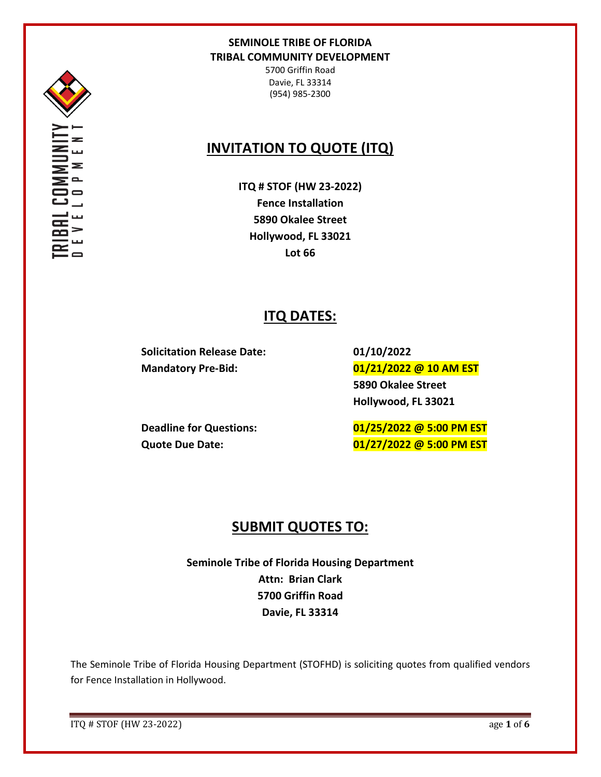

5700 Griffin Road Davie, FL 33314 (954) 985-2300

# **INVITATION TO QUOTE (ITQ)**

**ITQ # STOF (HW 23-2022) Fence Installation 5890 Okalee Street Hollywood, FL 33021 Lot 66**

# **ITQ DATES:**

**Solicitation Release Date: 01/10/2022**

**Mandatory Pre-Bid: 01/21/2022 @ 10 AM EST 5890 Okalee Street Hollywood, FL 33021**

**Deadline for Questions: 01/25/2022 @ 5:00 PM EST Quote Due Date: 01/27/2022 @ 5:00 PM EST**

# **SUBMIT QUOTES TO:**

**Seminole Tribe of Florida Housing Department Attn: Brian Clark 5700 Griffin Road Davie, FL 33314**

The Seminole Tribe of Florida Housing Department (STOFHD) is soliciting quotes from qualified vendors for Fence Installation in Hollywood.

ITQ # STOF (HW 23-2022) age **1** of **6**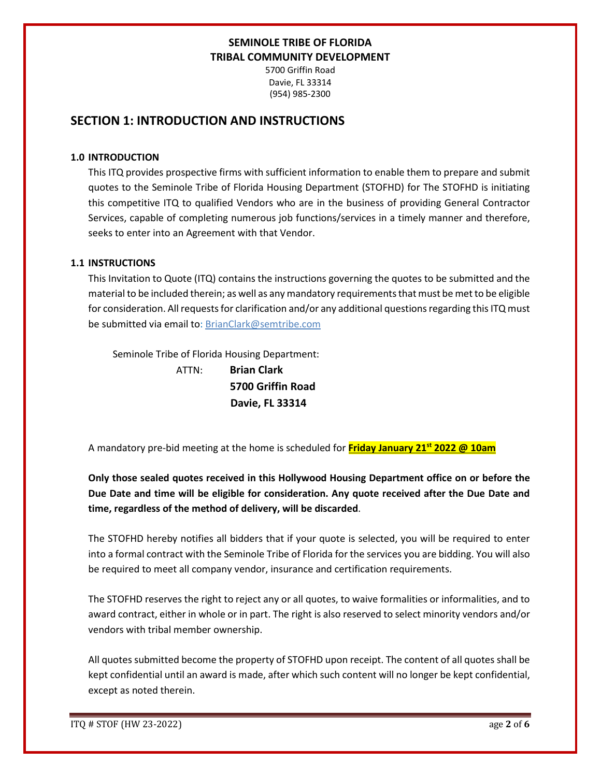5700 Griffin Road Davie, FL 33314 (954) 985-2300

## **SECTION 1: INTRODUCTION AND INSTRUCTIONS**

#### **1.0 INTRODUCTION**

This ITQ provides prospective firms with sufficient information to enable them to prepare and submit quotes to the Seminole Tribe of Florida Housing Department (STOFHD) for The STOFHD is initiating this competitive ITQ to qualified Vendors who are in the business of providing General Contractor Services, capable of completing numerous job functions/services in a timely manner and therefore, seeks to enter into an Agreement with that Vendor.

## **1.1 INSTRUCTIONS**

This Invitation to Quote (ITQ) contains the instructions governing the quotes to be submitted and the material to be included therein; as well as any mandatory requirements that must be met to be eligible for consideration. All requests for clarification and/or any additional questions regarding this ITQ must be submitted via email to: BrianClark@semtribe.com

Seminole Tribe of Florida Housing Department:

 ATTN: **Brian Clark 5700 Griffin Road Davie, FL 33314**

A mandatory pre-bid meeting at the home is scheduled for **Friday January 21st 2022 @ 10am**

**Only those sealed quotes received in this Hollywood Housing Department office on or before the Due Date and time will be eligible for consideration. Any quote received after the Due Date and time, regardless of the method of delivery, will be discarded**.

The STOFHD hereby notifies all bidders that if your quote is selected, you will be required to enter into a formal contract with the Seminole Tribe of Florida for the services you are bidding. You will also be required to meet all company vendor, insurance and certification requirements.

The STOFHD reserves the right to reject any or all quotes, to waive formalities or informalities, and to award contract, either in whole or in part. The right is also reserved to select minority vendors and/or vendors with tribal member ownership.

All quotes submitted become the property of STOFHD upon receipt. The content of all quotes shall be kept confidential until an award is made, after which such content will no longer be kept confidential, except as noted therein.

ITQ # STOF (HW 23-2022) age **2** of **6**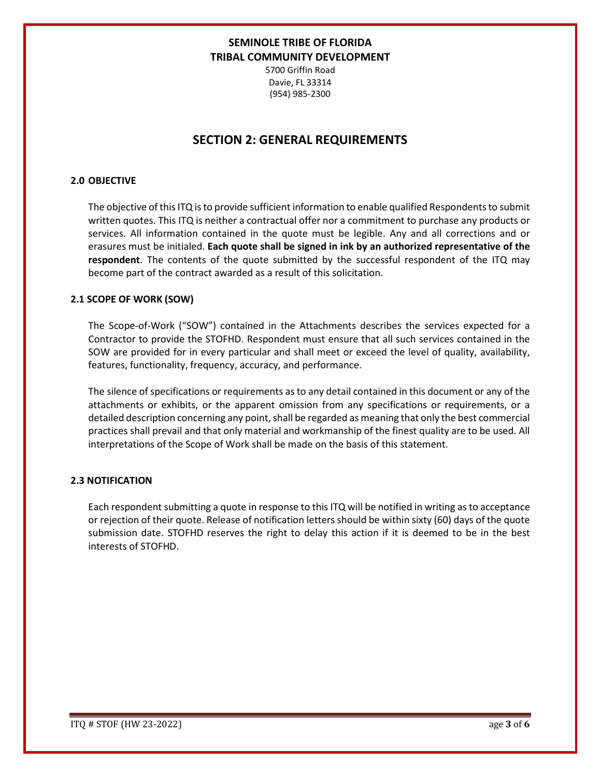5700 Griffin Road Davie, FL 33314 (954) 985-2300

## **SECTION 2: GENERAL REQUIREMENTS**

### **2.0 OBJECTIVE**

The objective of this ITQ is to provide sufficient information to enable qualified Respondents to submit written quotes. This ITQ is neither a contractual offer nor a commitment to purchase any products or services. All information contained in the quote must be legible. Any and all corrections and or erasures must be initialed. **Each quote shall be signed in ink by an authorized representative of the respondent**. The contents of the quote submitted by the successful respondent of the ITQ may become part of the contract awarded as a result of this solicitation.

#### **2.1 SCOPE OF WORK (SOW)**

The Scope-of-Work ("SOW") contained in the Attachments describes the services expected for a Contractor to provide the STOFHD. Respondent must ensure that all such services contained in the SOW are provided for in every particular and shall meet or exceed the level of quality, availability, features, functionality, frequency, accuracy, and performance.

The silence of specifications or requirements as to any detail contained in this document or any of the attachments or exhibits, or the apparent omission from any specifications or requirements, or a detailed description concerning any point, shall be regarded as meaning that only the best commercial practices shall prevail and that only material and workmanship of the finest quality are to be used. All interpretations of the Scope of Work shall be made on the basis of this statement.

#### **2.3 NOTIFICATION**

Each respondent submitting a quote in response to this ITQ will be notified in writing as to acceptance or rejection of their quote. Release of notification letters should be within sixty (60) days of the quote submission date. STOFHD reserves the right to delay this action if it is deemed to be in the best interests of STOFHD.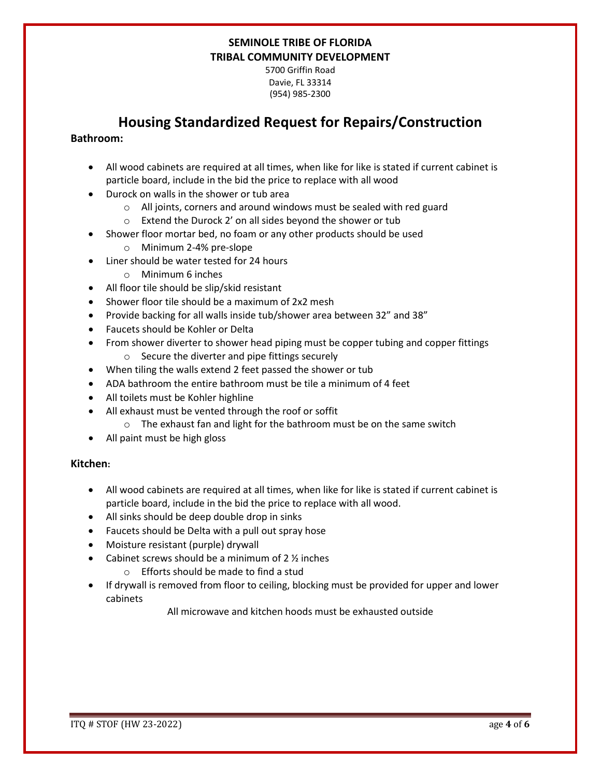5700 Griffin Road Davie, FL 33314 (954) 985-2300

# **Housing Standardized Request for Repairs/Construction**

## **Bathroom:**

- All wood cabinets are required at all times, when like for like is stated if current cabinet is particle board, include in the bid the price to replace with all wood
- Durock on walls in the shower or tub area
	- o All joints, corners and around windows must be sealed with red guard
	- o Extend the Durock 2' on all sides beyond the shower or tub
- Shower floor mortar bed, no foam or any other products should be used
	- o Minimum 2-4% pre-slope
- Liner should be water tested for 24 hours
	- o Minimum 6 inches
- All floor tile should be slip/skid resistant
- Shower floor tile should be a maximum of 2x2 mesh
- Provide backing for all walls inside tub/shower area between 32" and 38"
- Faucets should be Kohler or Delta
- From shower diverter to shower head piping must be copper tubing and copper fittings o Secure the diverter and pipe fittings securely
- When tiling the walls extend 2 feet passed the shower or tub
- ADA bathroom the entire bathroom must be tile a minimum of 4 feet
- All toilets must be Kohler highline
- All exhaust must be vented through the roof or soffit
	- o The exhaust fan and light for the bathroom must be on the same switch
- All paint must be high gloss

## **Kitchen:**

- All wood cabinets are required at all times, when like for like is stated if current cabinet is particle board, include in the bid the price to replace with all wood.
- All sinks should be deep double drop in sinks
- Faucets should be Delta with a pull out spray hose
- Moisture resistant (purple) drywall
- Cabinet screws should be a minimum of  $2 \frac{1}{2}$  inches
	- o Efforts should be made to find a stud
- If drywall is removed from floor to ceiling, blocking must be provided for upper and lower cabinets

All microwave and kitchen hoods must be exhausted outside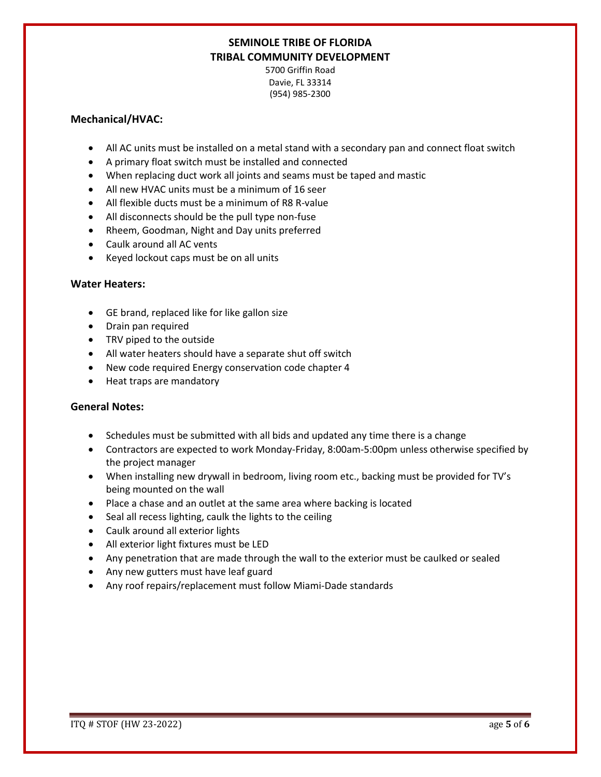5700 Griffin Road Davie, FL 33314 (954) 985-2300

### **Mechanical/HVAC:**

- All AC units must be installed on a metal stand with a secondary pan and connect float switch
- A primary float switch must be installed and connected
- When replacing duct work all joints and seams must be taped and mastic
- All new HVAC units must be a minimum of 16 seer
- All flexible ducts must be a minimum of R8 R-value
- All disconnects should be the pull type non-fuse
- Rheem, Goodman, Night and Day units preferred
- Caulk around all AC vents
- Keyed lockout caps must be on all units

#### **Water Heaters:**

- GE brand, replaced like for like gallon size
- Drain pan required
- TRV piped to the outside
- All water heaters should have a separate shut off switch
- New code required Energy conservation code chapter 4
- Heat traps are mandatory

#### **General Notes:**

- Schedules must be submitted with all bids and updated any time there is a change
- Contractors are expected to work Monday-Friday, 8:00am-5:00pm unless otherwise specified by the project manager
- When installing new drywall in bedroom, living room etc., backing must be provided for TV's being mounted on the wall
- Place a chase and an outlet at the same area where backing is located
- Seal all recess lighting, caulk the lights to the ceiling
- Caulk around all exterior lights
- All exterior light fixtures must be LED
- Any penetration that are made through the wall to the exterior must be caulked or sealed
- Any new gutters must have leaf guard
- Any roof repairs/replacement must follow Miami-Dade standards